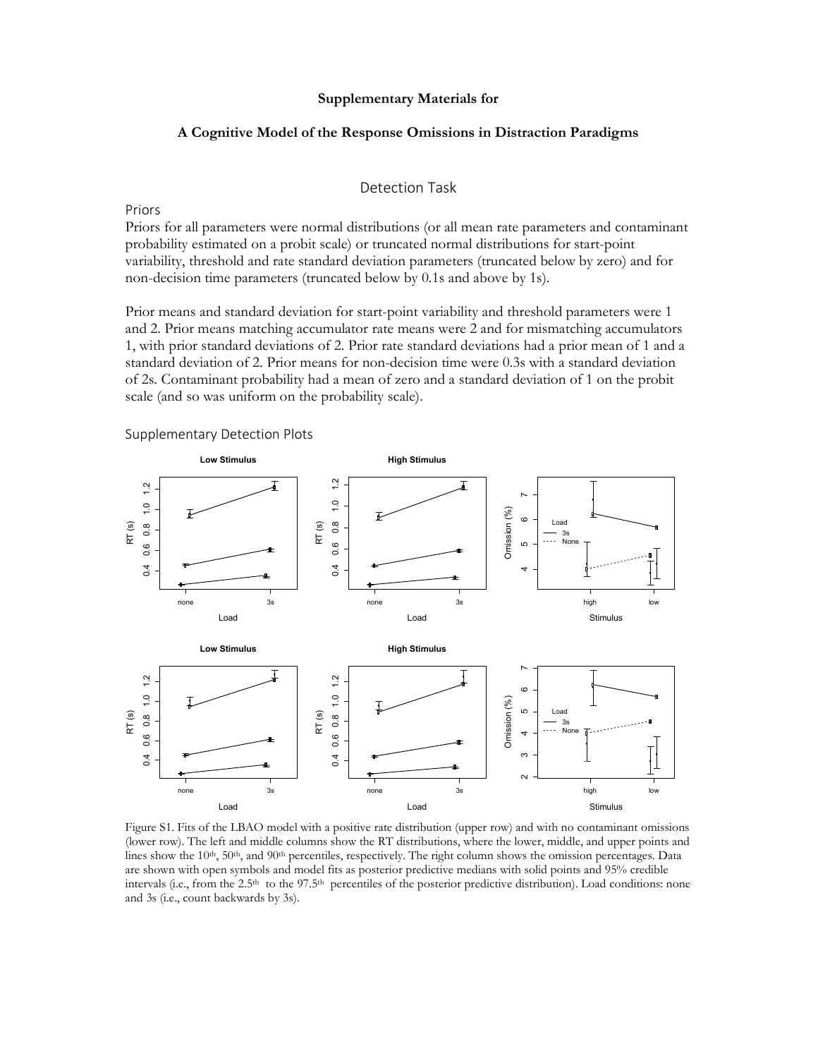# Supplementary Materials for

# A Cognitive Model of the Response Omissions in Distraction Paradigms

# Detection Task

Priors

Priors for all parameters were normal distributions (or all mean rate parameters and contaminant probability estimated on a probit scale) or truncated normal distributions for start-point variability, threshold and rate standard deviation parameters (truncated below by zero) and for non-decision time parameters (truncated below by 0.1s and above by 1s).

Prior means and standard deviation for start-point variability and threshold parameters were 1 and 2. Prior means matching accumulator rate means were 2 and for mismatching accumulators 1, with prior standard deviations of 2. Prior rate standard deviations had a prior mean of 1 and a standard deviation of 2. Prior means for non-decision time were 0.3s with a standard deviation of 2s. Contaminant probability had a mean of zero and a standard deviation of 1 on the probit scale (and so was uniform on the probability scale).



Figure S1. Fits of the LBAO model with a positive rate distribution (upper row) and with no contaminant omissions (lower row). The left and middle columns show the RT distributions, where the lower, middle, and upper points and lines show the 10<sup>th</sup>, 50<sup>th</sup>, and 90<sup>th</sup> percentiles, respectively. The right column shows the omission percentages. Data are shown with open symbols and model fits as posterior predictive medians with solid points and 95% credible intervals (i.e., from the 2.5<sup>th</sup> to the 97.5<sup>th</sup> percentiles of the posterior predictive distribution). Load conditions: none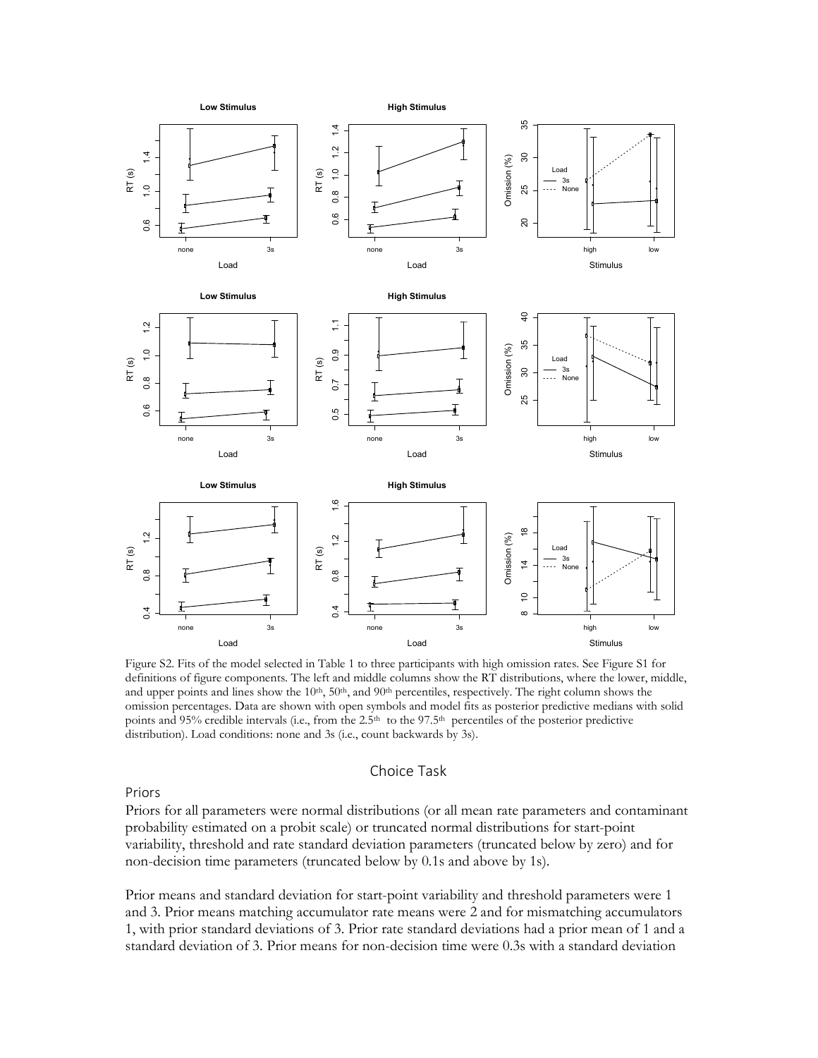

Figure S2. Fits of the model selected in Table 1 to three participants with high omission rates. See Figure S1 for definitions of figure components. The left and middle columns show the RT distributions, where the lower, middle, and upper points and lines show the  $10^{th}$ ,  $50^{th}$ , and  $90^{th}$  percentiles, respectively. The right column shows the omission percentages. Data are shown with open symbols and model fits as posterior predictive medians with solid points and 95% credible intervals (i.e., from the 2.5<sup>th</sup> to the 97.5<sup>th</sup> percentiles of the posterior predictive distribution). Load conditions: none and 3s (i.e., count backwards by 3s).

## Choice Task

Priors

Priors for all parameters were normal distributions (or all mean rate parameters and contaminant probability estimated on a probit scale) or truncated normal distributions for start-point variability, threshold and rate standard deviation parameters (truncated below by zero) and for non-decision time parameters (truncated below by 0.1s and above by 1s).

Prior means and standard deviation for start-point variability and threshold parameters were 1 and 3. Prior means matching accumulator rate means were 2 and for mismatching accumulators 1, with prior standard deviations of 3. Prior rate standard deviations had a prior mean of 1 and a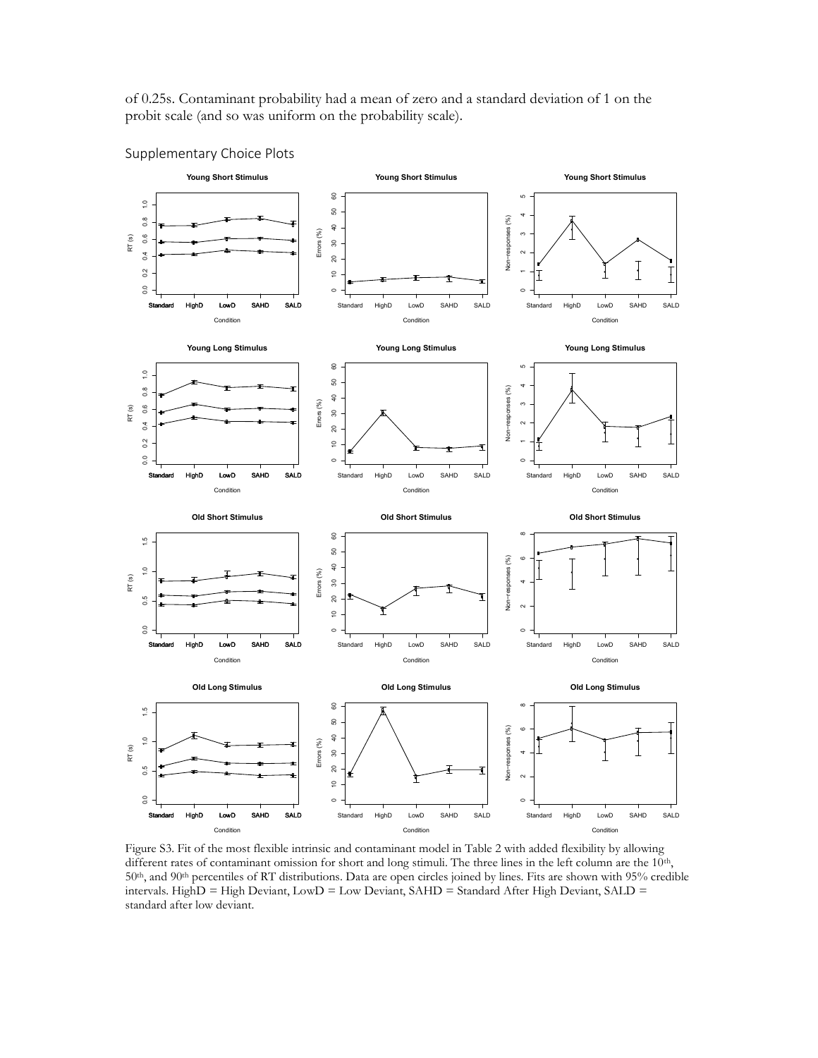of 0.25s. Contaminant probability had a mean of zero and a standard deviation of 1 on the probit scale (and so was uniform on the probability scale).



Figure S3. Fit of the most flexible intrinsic and contaminant model in Table 2 with added flexibility by allowing different rates of contaminant omission for short and long stimuli. The three lines in the left column are the 10<sup>th</sup>, 50<sup>th</sup>, and 90<sup>th</sup> percentiles of RT distributions. Data are open circles joined by lines. Fits are shown with 95% credible intervals. HighD = High Deviant, LowD = Low Deviant, SAHD = Standard After High Deviant, SALD =

Supplementary Choice Plots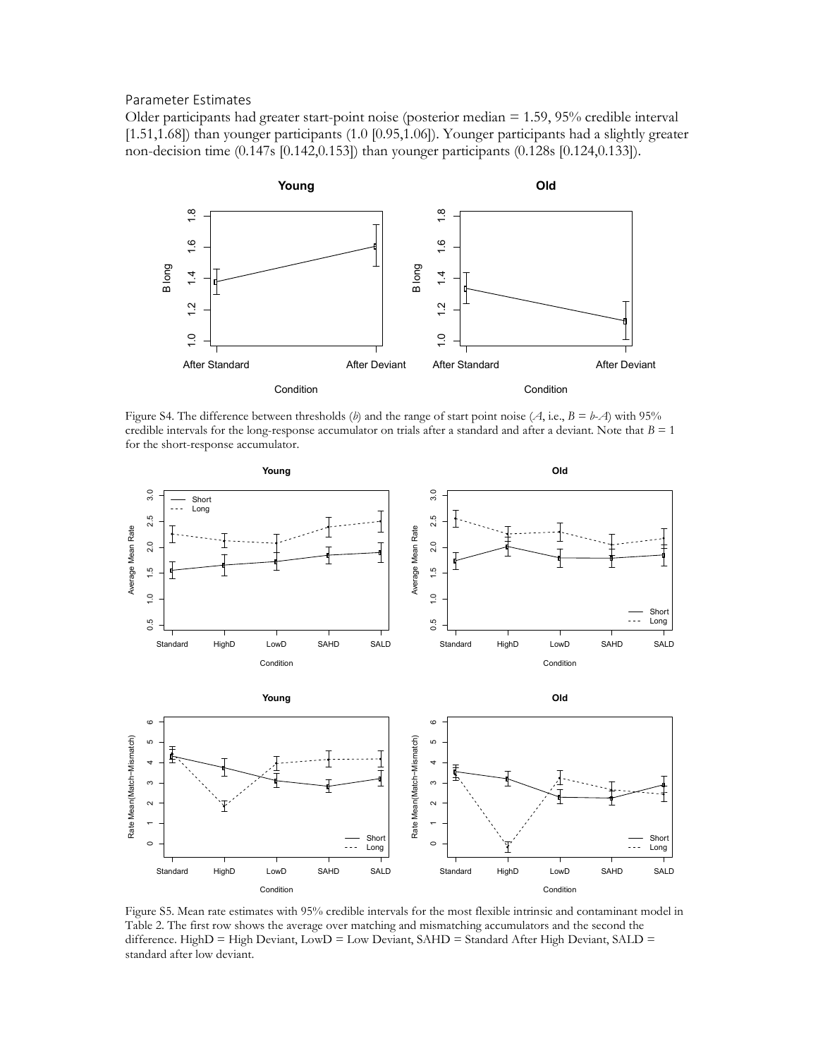## Parameter Estimates

Older participants had greater start-point noise (posterior median = 1.59, 95% credible interval [1.51,1.68]) than younger participants (1.0 [0.95,1.06]). Younger participants had a slightly greater non-decision time (0.147s [0.142,0.153]) than younger participants (0.128s [0.124,0.133]).



Figure S4. The difference between thresholds (b) and the range of start point noise (A, i.e.,  $B = b-A$ ) with 95% credible intervals for the long-response accumulator on trials after a standard and after a deviant. Note that  $B = 1$ for the short-response accumulator.



Figure S5. Mean rate estimates with 95% credible intervals for the most flexible intrinsic and contaminant model in Table 2. The first row shows the average over matching and mismatching accumulators and the second the difference. HighD = High Deviant, LowD = Low Deviant, SAHD = Standard After High Deviant, SALD =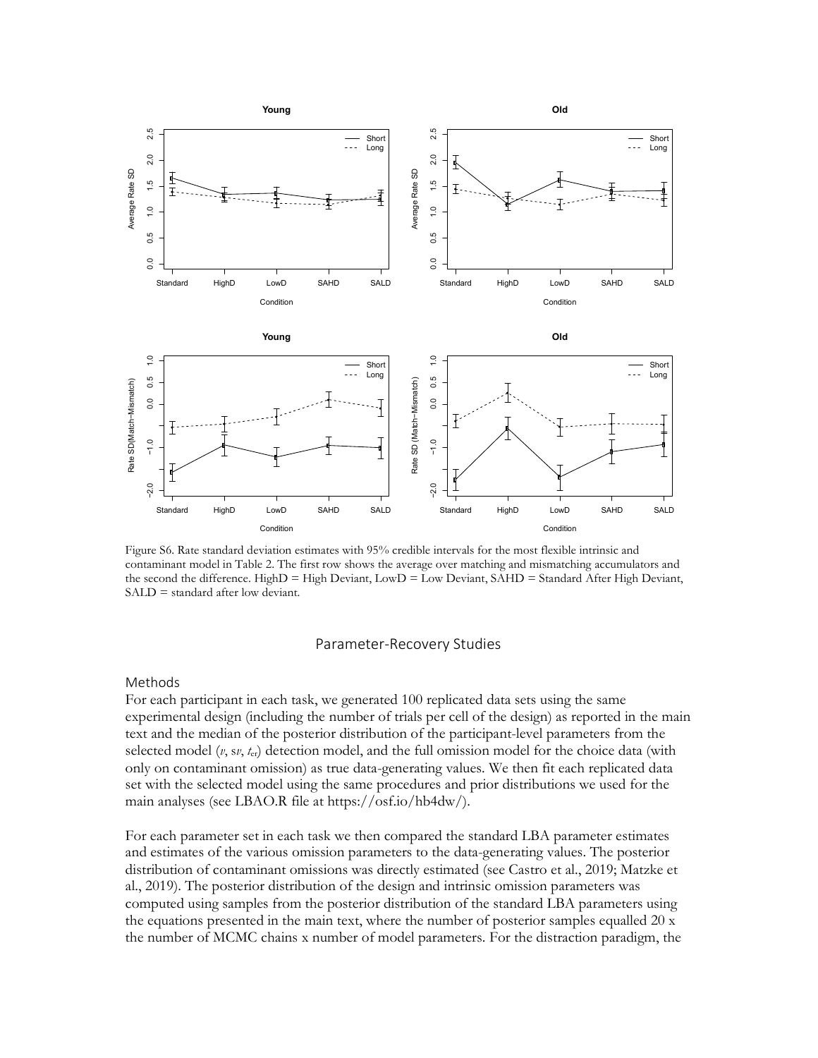

Figure S6. Rate standard deviation estimates with 95% credible intervals for the most flexible intrinsic and contaminant model in Table 2. The first row shows the average over matching and mismatching accumulators and the second the difference. HighD = High Deviant, LowD = Low Deviant, SAHD = Standard After High Deviant, SALD = standard after low deviant.

#### Parameter-Recovery Studies

### Methods

For each participant in each task, we generated 100 replicated data sets using the same experimental design (including the number of trials per cell of the design) as reported in the main text and the median of the posterior distribution of the participant-level parameters from the selected model  $(v, sv, t_{cr})$  detection model, and the full omission model for the choice data (with only on contaminant omission) as true data-generating values. We then fit each replicated data set with the selected model using the same procedures and prior distributions we used for the main analyses (see LBAO.R file at https://osf.io/hb4dw/).

For each parameter set in each task we then compared the standard LBA parameter estimates and estimates of the various omission parameters to the data-generating values. The posterior distribution of contaminant omissions was directly estimated (see Castro et al., 2019; Matzke et al., 2019). The posterior distribution of the design and intrinsic omission parameters was computed using samples from the posterior distribution of the standard LBA parameters using the equations presented in the main text, where the number of posterior samples equalled 20 x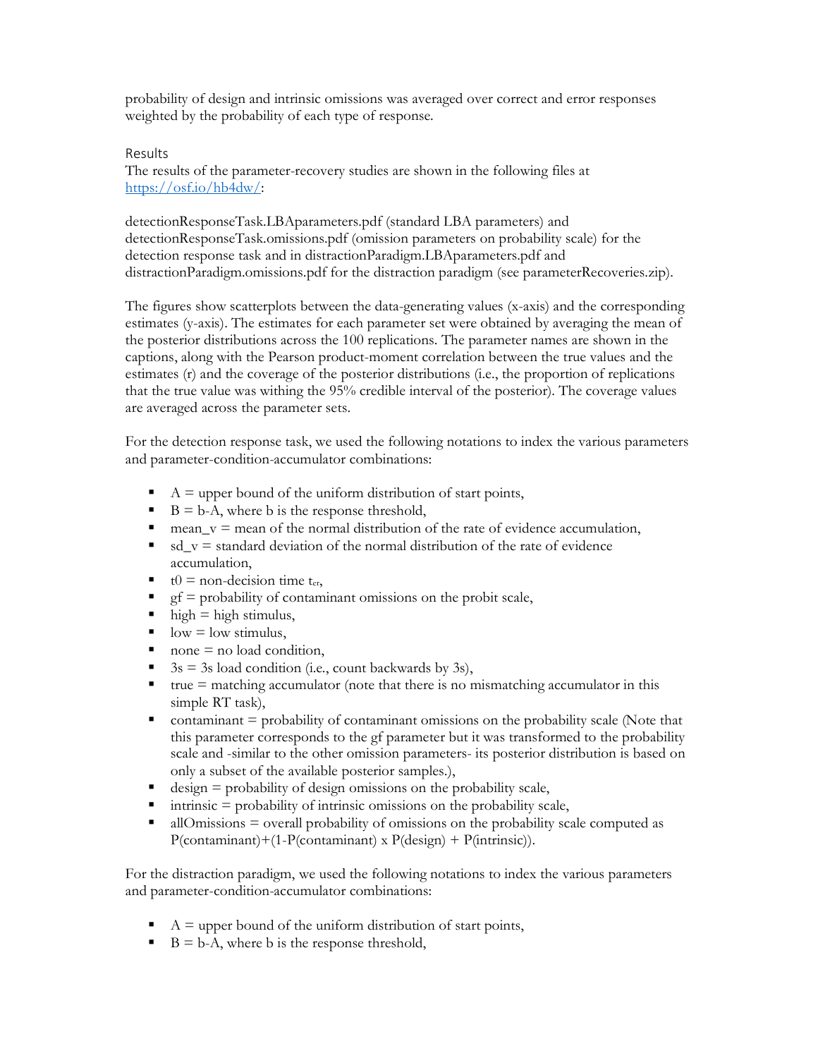probability of design and intrinsic omissions was averaged over correct and error responses weighted by the probability of each type of response.

# Results

The results of the parameter-recovery studies are shown in the following files at https://osf.io/hb4dw/:

detectionResponseTask.LBAparameters.pdf (standard LBA parameters) and detectionResponseTask.omissions.pdf (omission parameters on probability scale) for the detection response task and in distractionParadigm.LBAparameters.pdf and distractionParadigm.omissions.pdf for the distraction paradigm (see parameterRecoveries.zip).

The figures show scatterplots between the data-generating values (x-axis) and the corresponding estimates (y-axis). The estimates for each parameter set were obtained by averaging the mean of the posterior distributions across the 100 replications. The parameter names are shown in the captions, along with the Pearson product-moment correlation between the true values and the estimates (r) and the coverage of the posterior distributions (i.e., the proportion of replications that the true value was withing the 95% credible interval of the posterior). The coverage values are averaged across the parameter sets.

For the detection response task, we used the following notations to index the various parameters and parameter-condition-accumulator combinations:

- $A =$  upper bound of the uniform distribution of start points,
- $\blacksquare$  B = b-A, where b is the response threshold,
- mean  $v =$  mean of the normal distribution of the rate of evidence accumulation,
- $\bullet$  sd  $v =$  standard deviation of the normal distribution of the rate of evidence accumulation,
- $t0$  = non-decision time  $t_{\text{er}}$ ,
- gf = probability of contaminant omissions on the probit scale,
- $\blacksquare$  high = high stimulus,
- $\log$  low = low stimulus,
- $\blacksquare$  none  $\blacksquare$  no load condition,
- $3s = 3s$  load condition (i.e., count backwards by 3s),
- true  $=$  matching accumulator (note that there is no mismatching accumulator in this simple RT task),
- $\blacksquare$  contaminant  $\equiv$  probability of contaminant omissions on the probability scale (Note that this parameter corresponds to the gf parameter but it was transformed to the probability scale and -similar to the other omission parameters- its posterior distribution is based on only a subset of the available posterior samples.),
- design = probability of design omissions on the probability scale,
- intrinsic = probability of intrinsic omissions on the probability scale,
- allOmissions = overall probability of omissions on the probability scale computed as  $P$ (contaminant) + (1- $P$ (contaminant) x  $P$ (design) +  $P$ (intrinsic)).

For the distraction paradigm, we used the following notations to index the various parameters and parameter-condition-accumulator combinations:

- $A = upper$  bound of the uniform distribution of start points,
- $\blacksquare$  B = b-A, where b is the response threshold,